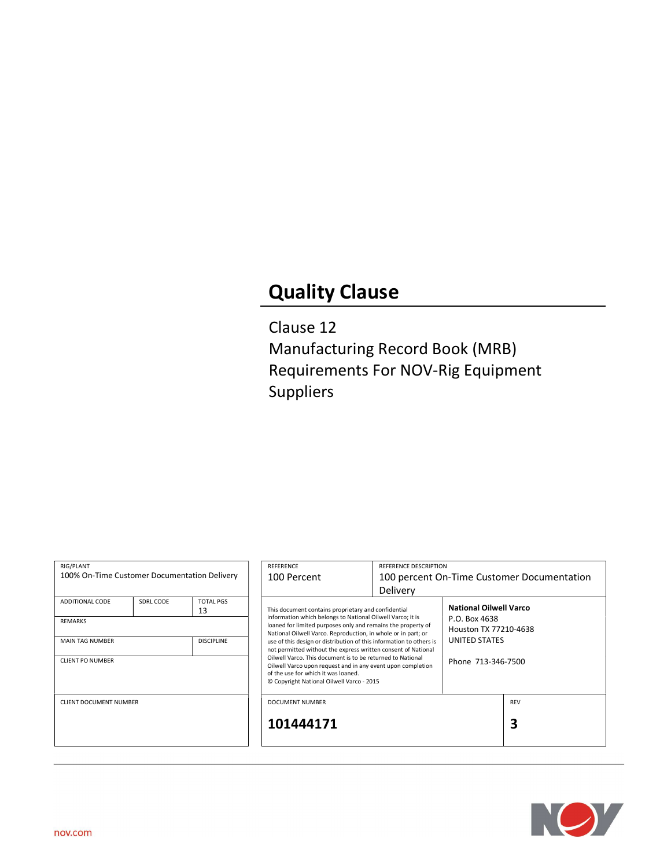# Quality Clause

Clause 12 Manufacturing Record Book (MRB) Requirements For NOV-Rig Equipment Suppliers

| RIG/PLANT<br>100% On-Time Customer Documentation Delivery              |           |                                                                                                                                                                                                                                                                                                                                                       | <b>REFERENCE</b><br>100 Percent                                                                                                                                                                                                                    | Delivery | REFERENCE DESCRIPTION<br>100 percent On-Time Customer Documentation                      |  |
|------------------------------------------------------------------------|-----------|-------------------------------------------------------------------------------------------------------------------------------------------------------------------------------------------------------------------------------------------------------------------------------------------------------------------------------------------------------|----------------------------------------------------------------------------------------------------------------------------------------------------------------------------------------------------------------------------------------------------|----------|------------------------------------------------------------------------------------------|--|
| ADDITIONAL CODE<br><b>REMARKS</b>                                      | SDRL CODE | <b>TOTAL PGS</b><br>13                                                                                                                                                                                                                                                                                                                                | This document contains proprietary and confidential<br>information which belongs to National Oilwell Varco; it is<br>loaned for limited purposes only and remains the property of<br>National Oilwell Varco. Reproduction, in whole or in part; or |          | <b>National Oilwell Varco</b><br>P.O. Box 4638<br>Houston TX 77210-4638<br>UNITED STATES |  |
| <b>MAIN TAG NUMBER</b><br><b>DISCIPLINE</b><br><b>CLIENT PO NUMBER</b> |           | use of this design or distribution of this information to others is<br>not permitted without the express written consent of National<br>Oilwell Varco. This document is to be returned to National<br>Oilwell Varco upon request and in any event upon completion<br>of the use for which it was loaned.<br>© Copyright National Oilwell Varco - 2015 |                                                                                                                                                                                                                                                    |          | Phone 713-346-7500                                                                       |  |
| <b>CLIENT DOCUMENT NUMBER</b>                                          |           | <b>DOCUMENT NUMBER</b>                                                                                                                                                                                                                                                                                                                                |                                                                                                                                                                                                                                                    |          | <b>REV</b>                                                                               |  |
|                                                                        |           | 101444171                                                                                                                                                                                                                                                                                                                                             |                                                                                                                                                                                                                                                    |          | 3                                                                                        |  |

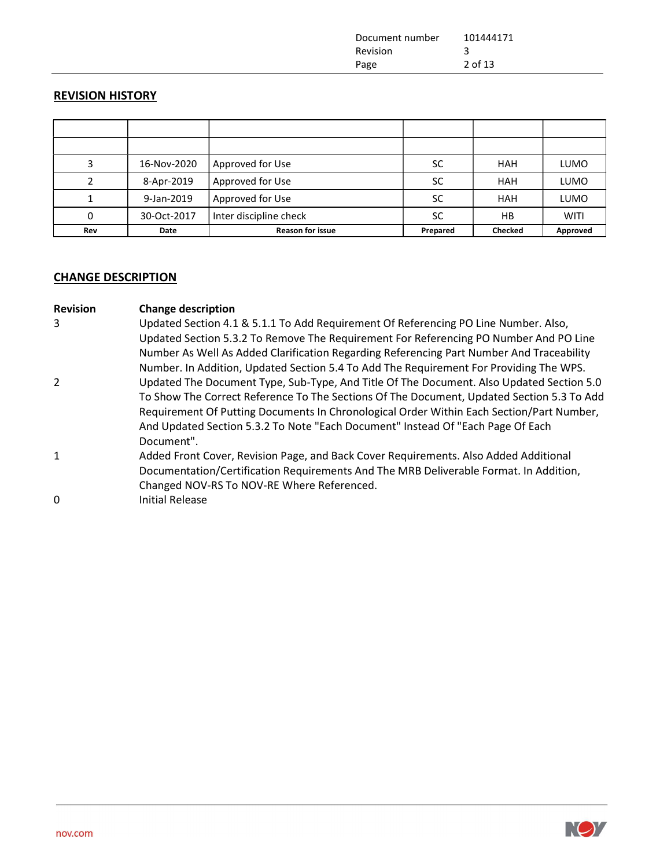| 101444171<br>Document number<br>Revision<br>ں<br>2 of 13<br>Page |
|------------------------------------------------------------------|
|------------------------------------------------------------------|

## REVISION HISTORY

| っ   | 16-Nov-2020 | Approved for Use        | SC       | HAH            | <b>LUMO</b> |
|-----|-------------|-------------------------|----------|----------------|-------------|
|     | 8-Apr-2019  | Approved for Use        | SC       | <b>HAH</b>     | <b>LUMO</b> |
|     | 9-Jan-2019  | Approved for Use        | SC.      | <b>HAH</b>     | LUMO        |
| 0   | 30-Oct-2017 | Inter discipline check  | SC       | HB             | <b>WITI</b> |
| Rev | Date        | <b>Reason for issue</b> | Prepared | <b>Checked</b> | Approved    |

#### CHANGE DESCRIPTION

| <b>Revision</b> | <b>Change description</b>                                                                 |
|-----------------|-------------------------------------------------------------------------------------------|
| 3               | Updated Section 4.1 & 5.1.1 To Add Requirement Of Referencing PO Line Number. Also,       |
|                 | Updated Section 5.3.2 To Remove The Requirement For Referencing PO Number And PO Line     |
|                 | Number As Well As Added Clarification Regarding Referencing Part Number And Traceability  |
|                 | Number. In Addition, Updated Section 5.4 To Add The Requirement For Providing The WPS.    |
| $\mathcal{L}$   | Updated The Document Type, Sub-Type, And Title Of The Document. Also Updated Section 5.0  |
|                 | To Show The Correct Reference To The Sections Of The Document, Updated Section 5.3 To Add |
|                 | Requirement Of Putting Documents In Chronological Order Within Each Section/Part Number,  |
|                 | And Updated Section 5.3.2 To Note "Each Document" Instead Of "Each Page Of Each           |
|                 | Document".                                                                                |
| 1               | Added Front Cover, Revision Page, and Back Cover Requirements. Also Added Additional      |
|                 | Documentation/Certification Requirements And The MRB Deliverable Format. In Addition,     |
|                 | Changed NOV-RS To NOV-RE Where Referenced.                                                |
| 0               | <b>Initial Release</b>                                                                    |

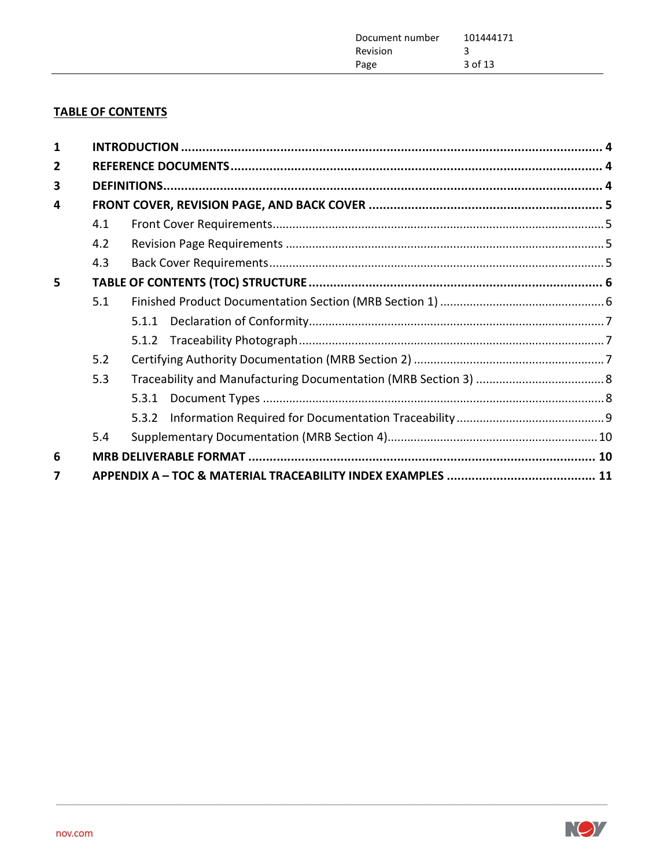| Document number | 101444171 |
|-----------------|-----------|
| Revision        |           |
| Page            | 3 of 13   |
|                 |           |

# **TABLE OF CONTENTS**

| $\mathbf{1}$   |     |       |  |
|----------------|-----|-------|--|
| $\overline{2}$ |     |       |  |
| 3              |     |       |  |
| 4              |     |       |  |
|                | 4.1 |       |  |
|                | 4.2 |       |  |
|                | 4.3 |       |  |
| 5              |     |       |  |
|                | 5.1 |       |  |
|                |     |       |  |
|                |     | 5.1.2 |  |
|                | 5.2 |       |  |
|                | 5.3 |       |  |
|                |     | 5.3.1 |  |
|                |     | 5.3.2 |  |
|                | 5.4 |       |  |
| 6              |     |       |  |
| 7              |     |       |  |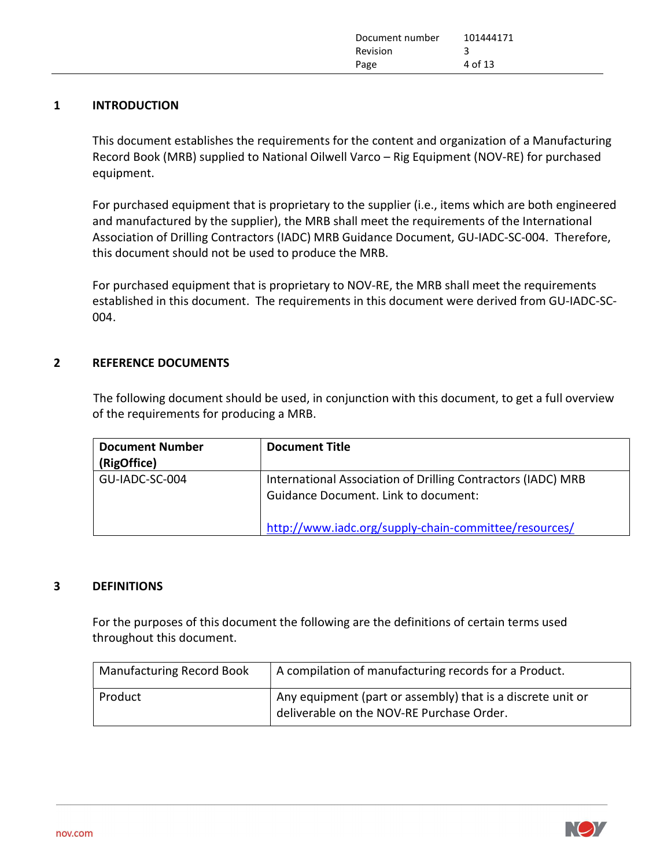| Document number<br>Revision<br>Page | 101444171<br>4 of 13 |
|-------------------------------------|----------------------|
|                                     |                      |

## 1 INTRODUCTION

This document establishes the requirements for the content and organization of a Manufacturing Record Book (MRB) supplied to National Oilwell Varco – Rig Equipment (NOV-RE) for purchased equipment.

For purchased equipment that is proprietary to the supplier (i.e., items which are both engineered and manufactured by the supplier), the MRB shall meet the requirements of the International Association of Drilling Contractors (IADC) MRB Guidance Document, GU-IADC-SC-004. Therefore, this document should not be used to produce the MRB.

For purchased equipment that is proprietary to NOV-RE, the MRB shall meet the requirements established in this document. The requirements in this document were derived from GU-IADC-SC-004.

## 2 REFERENCE DOCUMENTS

 The following document should be used, in conjunction with this document, to get a full overview of the requirements for producing a MRB.

| <b>Document Number</b><br>(RigOffice) | <b>Document Title</b>                                                                                       |  |
|---------------------------------------|-------------------------------------------------------------------------------------------------------------|--|
| GU-IADC-SC-004                        | International Association of Drilling Contractors (IADC) MRB<br><b>Guidance Document. Link to document:</b> |  |
|                                       | http://www.iadc.org/supply-chain-committee/resources/                                                       |  |

## 3 DEFINITIONS

For the purposes of this document the following are the definitions of certain terms used throughout this document.

| <b>Manufacturing Record Book</b> | A compilation of manufacturing records for a Product.                                                    |
|----------------------------------|----------------------------------------------------------------------------------------------------------|
| Product                          | Any equipment (part or assembly) that is a discrete unit or<br>deliverable on the NOV-RE Purchase Order. |

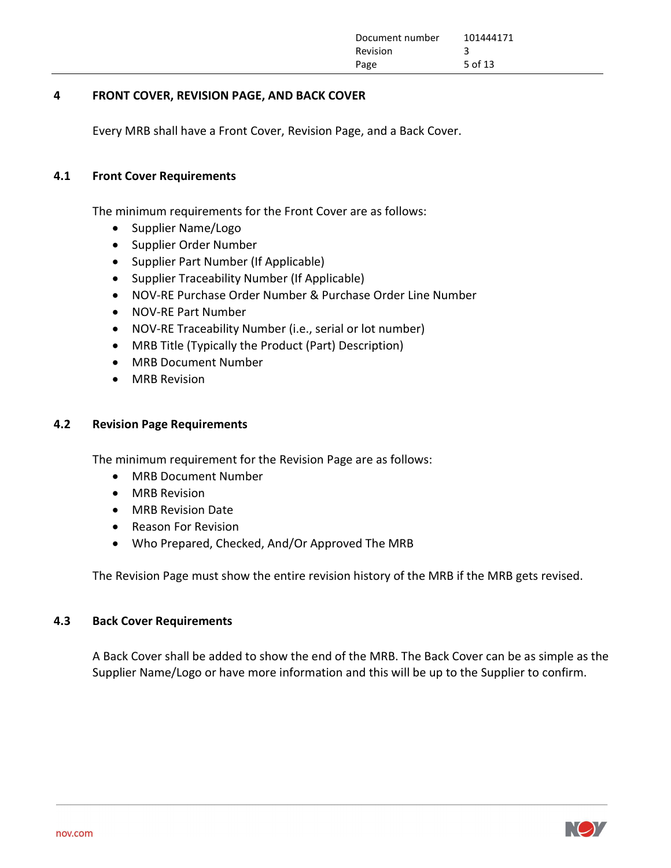| Document number | 101444171 |
|-----------------|-----------|
| Revision        |           |
| Page            | 5 of 13   |

## 4 FRONT COVER, REVISION PAGE, AND BACK COVER

Every MRB shall have a Front Cover, Revision Page, and a Back Cover.

#### 4.1 Front Cover Requirements

The minimum requirements for the Front Cover are as follows:

- Supplier Name/Logo
- Supplier Order Number
- Supplier Part Number (If Applicable)
- Supplier Traceability Number (If Applicable)
- NOV-RE Purchase Order Number & Purchase Order Line Number
- NOV-RE Part Number
- NOV-RE Traceability Number (i.e., serial or lot number)
- MRB Title (Typically the Product (Part) Description)
- MRB Document Number
- **MRB Revision**

#### 4.2 Revision Page Requirements

The minimum requirement for the Revision Page are as follows:

- MRB Document Number
- MRB Revision
- MRB Revision Date
- Reason For Revision
- Who Prepared, Checked, And/Or Approved The MRB

The Revision Page must show the entire revision history of the MRB if the MRB gets revised.

#### 4.3 Back Cover Requirements

A Back Cover shall be added to show the end of the MRB. The Back Cover can be as simple as the Supplier Name/Logo or have more information and this will be up to the Supplier to confirm.

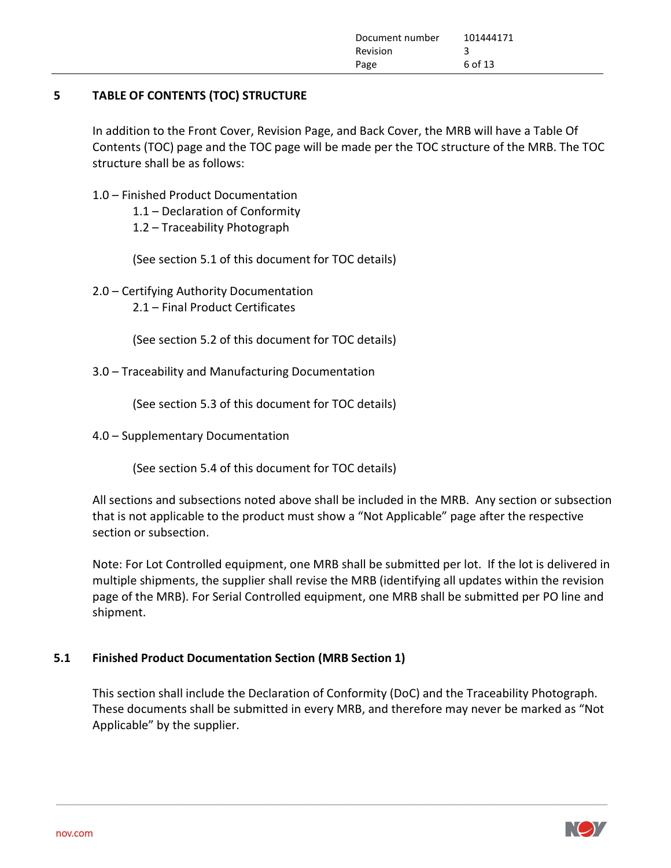| 101444171<br>Document number<br>Revision<br>6 of 13<br>Page |
|-------------------------------------------------------------|
|-------------------------------------------------------------|

## 5 TABLE OF CONTENTS (TOC) STRUCTURE

In addition to the Front Cover, Revision Page, and Back Cover, the MRB will have a Table Of Contents (TOC) page and the TOC page will be made per the TOC structure of the MRB. The TOC structure shall be as follows:

1.0 – Finished Product Documentation 1.1 – Declaration of Conformity 1.2 – Traceability Photograph

(See section 5.1 of this document for TOC details)

2.0 – Certifying Authority Documentation 2.1 – Final Product Certificates

(See section 5.2 of this document for TOC details)

3.0 – Traceability and Manufacturing Documentation

(See section 5.3 of this document for TOC details)

4.0 – Supplementary Documentation

(See section 5.4 of this document for TOC details)

All sections and subsections noted above shall be included in the MRB. Any section or subsection that is not applicable to the product must show a "Not Applicable" page after the respective section or subsection.

Note: For Lot Controlled equipment, one MRB shall be submitted per lot. If the lot is delivered in multiple shipments, the supplier shall revise the MRB (identifying all updates within the revision page of the MRB). For Serial Controlled equipment, one MRB shall be submitted per PO line and shipment.

## 5.1 Finished Product Documentation Section (MRB Section 1)

This section shall include the Declaration of Conformity (DoC) and the Traceability Photograph. These documents shall be submitted in every MRB, and therefore may never be marked as "Not Applicable" by the supplier.

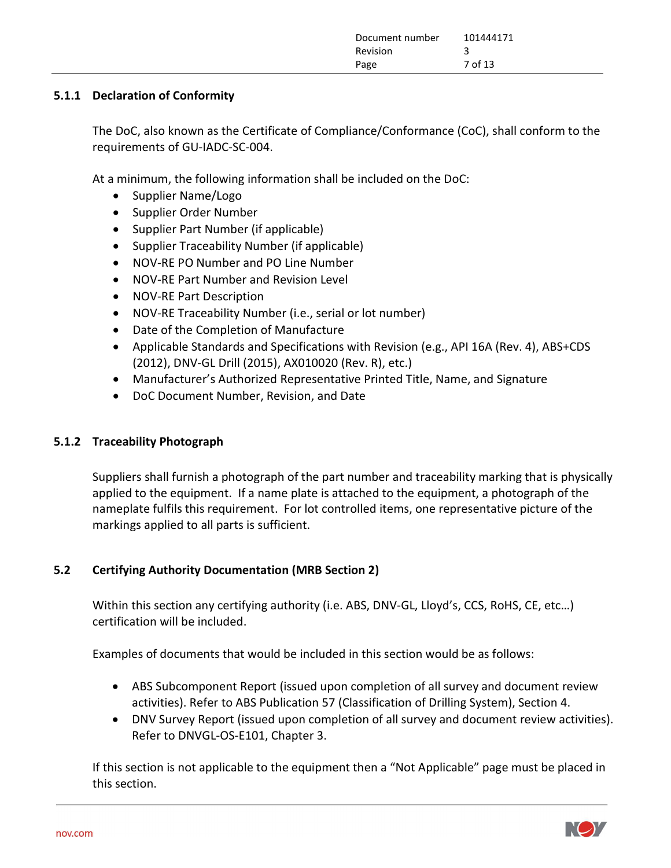| Document number | 101444171 |
|-----------------|-----------|
| Revision        | ັ         |
| Page            | 7 of 13   |
|                 |           |

## 5.1.1 Declaration of Conformity

The DoC, also known as the Certificate of Compliance/Conformance (CoC), shall conform to the requirements of GU-IADC-SC-004.

At a minimum, the following information shall be included on the DoC:

- Supplier Name/Logo
- Supplier Order Number
- Supplier Part Number (if applicable)
- Supplier Traceability Number (if applicable)
- NOV-RE PO Number and PO Line Number
- NOV-RE Part Number and Revision Level
- NOV-RE Part Description
- NOV-RE Traceability Number (i.e., serial or lot number)
- Date of the Completion of Manufacture
- Applicable Standards and Specifications with Revision (e.g., API 16A (Rev. 4), ABS+CDS (2012), DNV-GL Drill (2015), AX010020 (Rev. R), etc.)
- Manufacturer's Authorized Representative Printed Title, Name, and Signature
- DoC Document Number, Revision, and Date

#### 5.1.2 Traceability Photograph

Suppliers shall furnish a photograph of the part number and traceability marking that is physically applied to the equipment. If a name plate is attached to the equipment, a photograph of the nameplate fulfils this requirement. For lot controlled items, one representative picture of the markings applied to all parts is sufficient.

#### 5.2 Certifying Authority Documentation (MRB Section 2)

Within this section any certifying authority (i.e. ABS, DNV-GL, Lloyd's, CCS, RoHS, CE, etc...) certification will be included.

Examples of documents that would be included in this section would be as follows:

- ABS Subcomponent Report (issued upon completion of all survey and document review activities). Refer to ABS Publication 57 (Classification of Drilling System), Section 4.
- DNV Survey Report (issued upon completion of all survey and document review activities). Refer to DNVGL-OS-E101, Chapter 3.

If this section is not applicable to the equipment then a "Not Applicable" page must be placed in this section.

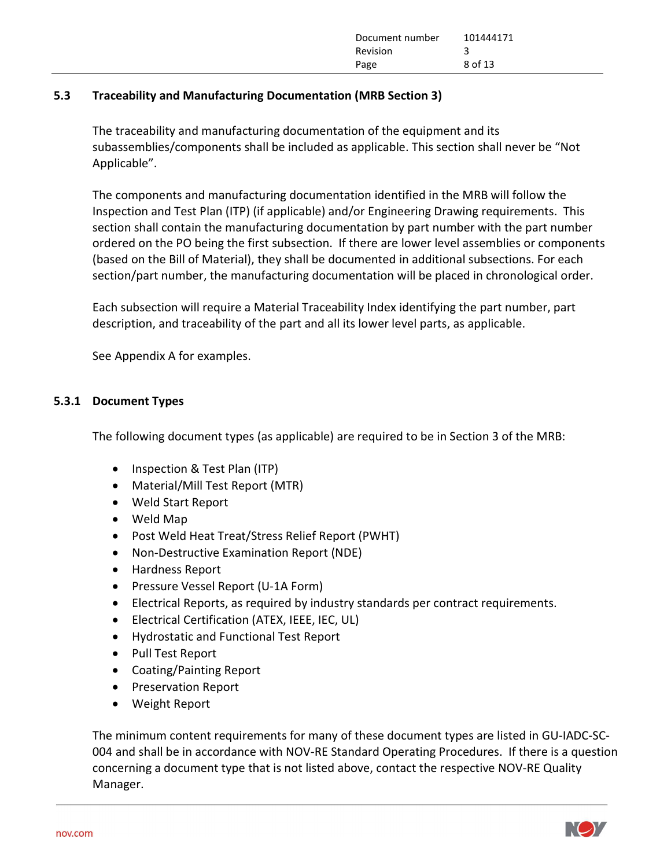| Document number | 101444171 |
|-----------------|-----------|
| <b>Revision</b> |           |
| Page            | 8 of 13   |

## 5.3 Traceability and Manufacturing Documentation (MRB Section 3)

The traceability and manufacturing documentation of the equipment and its subassemblies/components shall be included as applicable. This section shall never be "Not Applicable".

The components and manufacturing documentation identified in the MRB will follow the Inspection and Test Plan (ITP) (if applicable) and/or Engineering Drawing requirements. This section shall contain the manufacturing documentation by part number with the part number ordered on the PO being the first subsection. If there are lower level assemblies or components (based on the Bill of Material), they shall be documented in additional subsections. For each section/part number, the manufacturing documentation will be placed in chronological order.

Each subsection will require a Material Traceability Index identifying the part number, part description, and traceability of the part and all its lower level parts, as applicable.

See Appendix A for examples.

## 5.3.1 Document Types

The following document types (as applicable) are required to be in Section 3 of the MRB:

- Inspection & Test Plan (ITP)
- Material/Mill Test Report (MTR)
- Weld Start Report
- Weld Map
- Post Weld Heat Treat/Stress Relief Report (PWHT)
- Non-Destructive Examination Report (NDE)
- Hardness Report
- Pressure Vessel Report (U-1A Form)
- Electrical Reports, as required by industry standards per contract requirements.
- Electrical Certification (ATEX, IEEE, IEC, UL)
- Hydrostatic and Functional Test Report
- Pull Test Report
- Coating/Painting Report
- Preservation Report
- Weight Report

The minimum content requirements for many of these document types are listed in GU-IADC-SC-004 and shall be in accordance with NOV-RE Standard Operating Procedures. If there is a question concerning a document type that is not listed above, contact the respective NOV-RE Quality Manager.

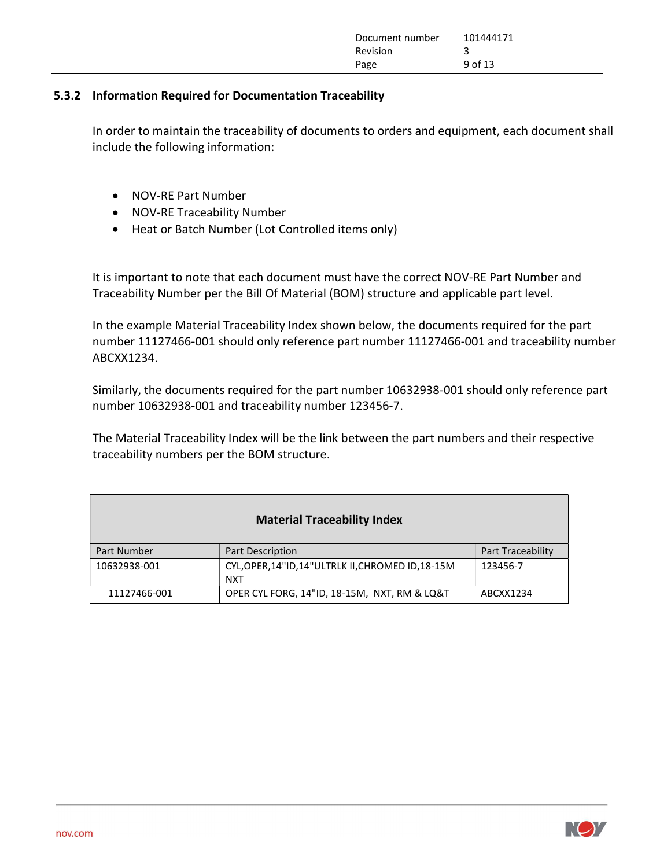| Document number | 101444171 |
|-----------------|-----------|
| Revision        |           |
| Page            | 9 of 13   |

## 5.3.2 Information Required for Documentation Traceability

In order to maintain the traceability of documents to orders and equipment, each document shall include the following information:

- NOV-RE Part Number
- NOV-RE Traceability Number
- Heat or Batch Number (Lot Controlled items only)

It is important to note that each document must have the correct NOV-RE Part Number and Traceability Number per the Bill Of Material (BOM) structure and applicable part level.

In the example Material Traceability Index shown below, the documents required for the part number 11127466-001 should only reference part number 11127466-001 and traceability number ABCXX1234.

Similarly, the documents required for the part number 10632938-001 should only reference part number 10632938-001 and traceability number 123456-7.

The Material Traceability Index will be the link between the part numbers and their respective traceability numbers per the BOM structure.

| <b>Material Traceability Index</b> |                                                                  |                   |
|------------------------------------|------------------------------------------------------------------|-------------------|
| <b>Part Number</b>                 | <b>Part Description</b>                                          | Part Traceability |
| 10632938-001                       | CYL, OPER, 14"ID, 14"ULTRLK II, CHROMED ID, 18-15M<br><b>NXT</b> | 123456-7          |
| 11127466-001                       | OPER CYL FORG, 14"ID, 18-15M, NXT, RM & LQ&T                     | ABCXX1234         |

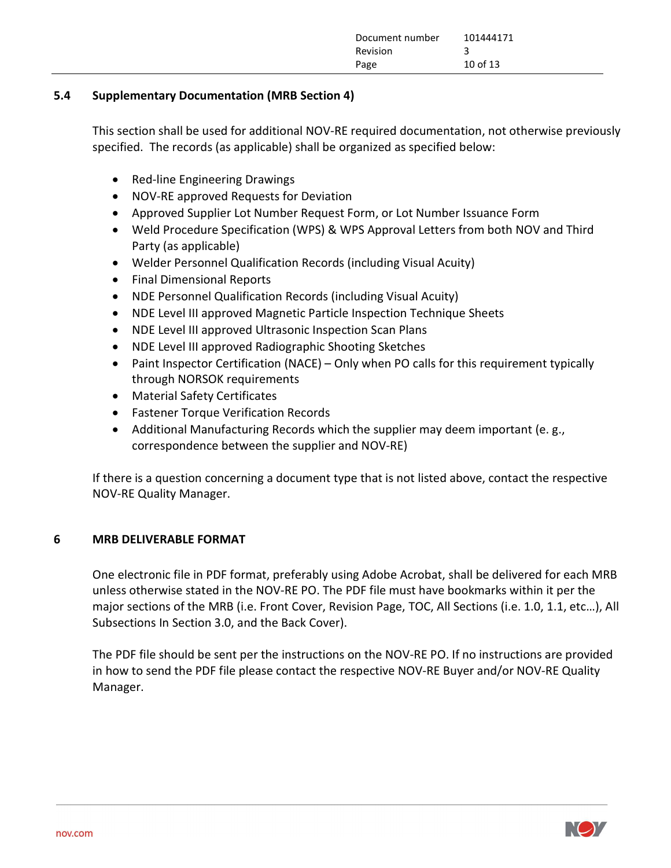| Document number | 101444171 |
|-----------------|-----------|
| Revision        |           |
| Page            | 10 of 13  |

## 5.4 Supplementary Documentation (MRB Section 4)

This section shall be used for additional NOV-RE required documentation, not otherwise previously specified. The records (as applicable) shall be organized as specified below:

- Red-line Engineering Drawings
- NOV-RE approved Requests for Deviation
- Approved Supplier Lot Number Request Form, or Lot Number Issuance Form
- Weld Procedure Specification (WPS) & WPS Approval Letters from both NOV and Third Party (as applicable)
- Welder Personnel Qualification Records (including Visual Acuity)
- Final Dimensional Reports
- NDE Personnel Qualification Records (including Visual Acuity)
- NDE Level III approved Magnetic Particle Inspection Technique Sheets
- NDE Level III approved Ultrasonic Inspection Scan Plans
- NDE Level III approved Radiographic Shooting Sketches
- Paint Inspector Certification (NACE) Only when PO calls for this requirement typically through NORSOK requirements
- Material Safety Certificates
- Fastener Torque Verification Records
- Additional Manufacturing Records which the supplier may deem important (e. g., correspondence between the supplier and NOV-RE)

If there is a question concerning a document type that is not listed above, contact the respective NOV-RE Quality Manager.

## 6 MRB DELIVERABLE FORMAT

One electronic file in PDF format, preferably using Adobe Acrobat, shall be delivered for each MRB unless otherwise stated in the NOV-RE PO. The PDF file must have bookmarks within it per the major sections of the MRB (i.e. Front Cover, Revision Page, TOC, All Sections (i.e. 1.0, 1.1, etc…), All Subsections In Section 3.0, and the Back Cover).

The PDF file should be sent per the instructions on the NOV-RE PO. If no instructions are provided in how to send the PDF file please contact the respective NOV-RE Buyer and/or NOV-RE Quality Manager.

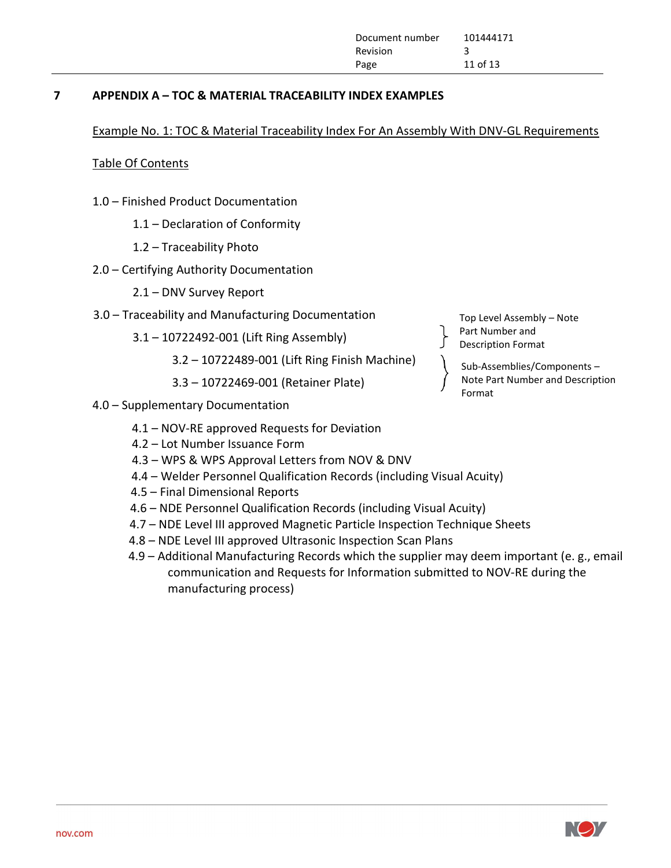| Document number | 101444171 |
|-----------------|-----------|
| Revision        |           |
| Page            | 11 of 13  |

#### 7 APPENDIX A – TOC & MATERIAL TRACEABILITY INDEX EXAMPLES

Example No. 1: TOC & Material Traceability Index For An Assembly With DNV-GL Requirements

#### Table Of Contents

- 1.0 Finished Product Documentation
	- 1.1 Declaration of Conformity
	- 1.2 Traceability Photo
- 2.0 Certifying Authority Documentation
	- 2.1 DNV Survey Report
- 3.0 Traceability and Manufacturing Documentation
	- 3.1 10722492-001 (Lift Ring Assembly)
		- 3.2 10722489-001 (Lift Ring Finish Machine)
		- 3.3 10722469-001 (Retainer Plate)
- 4.0 Supplementary Documentation
	- 4.1 NOV-RE approved Requests for Deviation
	- 4.2 Lot Number Issuance Form
	- 4.3 WPS & WPS Approval Letters from NOV & DNV
	- 4.4 Welder Personnel Qualification Records (including Visual Acuity)
	- 4.5 Final Dimensional Reports
	- 4.6 NDE Personnel Qualification Records (including Visual Acuity)
	- 4.7 NDE Level III approved Magnetic Particle Inspection Technique Sheets
	- 4.8 NDE Level III approved Ultrasonic Inspection Scan Plans
	- 4.9 Additional Manufacturing Records which the supplier may deem important (e. g., email communication and Requests for Information submitted to NOV-RE during the manufacturing process)

Top Level Assembly – Note Part Number and Description Format

Sub-Assemblies/Components – Note Part Number and Description Format

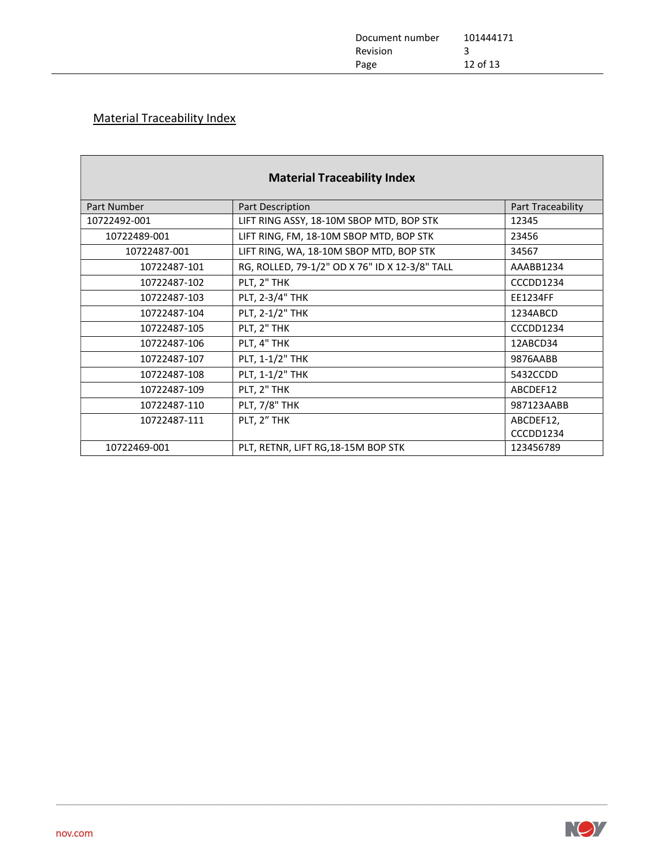| Document number<br>Revision<br>Page | 101444171<br>12 of 13 |  |
|-------------------------------------|-----------------------|--|
|                                     |                       |  |

# Material Traceability Index

| <b>Material Traceability Index</b> |                                                |                   |
|------------------------------------|------------------------------------------------|-------------------|
| Part Number                        | <b>Part Description</b>                        | Part Traceability |
| 10722492-001                       | LIFT RING ASSY, 18-10M SBOP MTD, BOP STK       | 12345             |
| 10722489-001                       | LIFT RING, FM, 18-10M SBOP MTD, BOP STK        | 23456             |
| 10722487-001                       | LIFT RING, WA, 18-10M SBOP MTD, BOP STK        | 34567             |
| 10722487-101                       | RG, ROLLED, 79-1/2" OD X 76" ID X 12-3/8" TALL | AAABB1234         |
| 10722487-102                       | PLT, 2" THK                                    | CCCDD1234         |
| 10722487-103                       | PLT, 2-3/4" THK                                | EE1234FF          |
| 10722487-104                       | PLT, 2-1/2" THK                                | 1234ABCD          |
| 10722487-105                       | PLT, 2" THK                                    | CCCDD1234         |
| 10722487-106                       | PLT, 4" THK                                    | 12ABCD34          |
| 10722487-107                       | PLT, 1-1/2" THK                                | 9876AABB          |
| 10722487-108                       | PLT, 1-1/2" THK                                | 5432CCDD          |
| 10722487-109                       | PLT, 2" THK                                    | ABCDEF12          |
| 10722487-110                       | <b>PLT, 7/8" THK</b>                           | 987123AABB        |
| 10722487-111                       | PLT, 2" THK                                    | ABCDEF12,         |
|                                    |                                                | CCCDD1234         |
| 10722469-001                       | PLT, RETNR, LIFT RG, 18-15M BOP STK            | 123456789         |